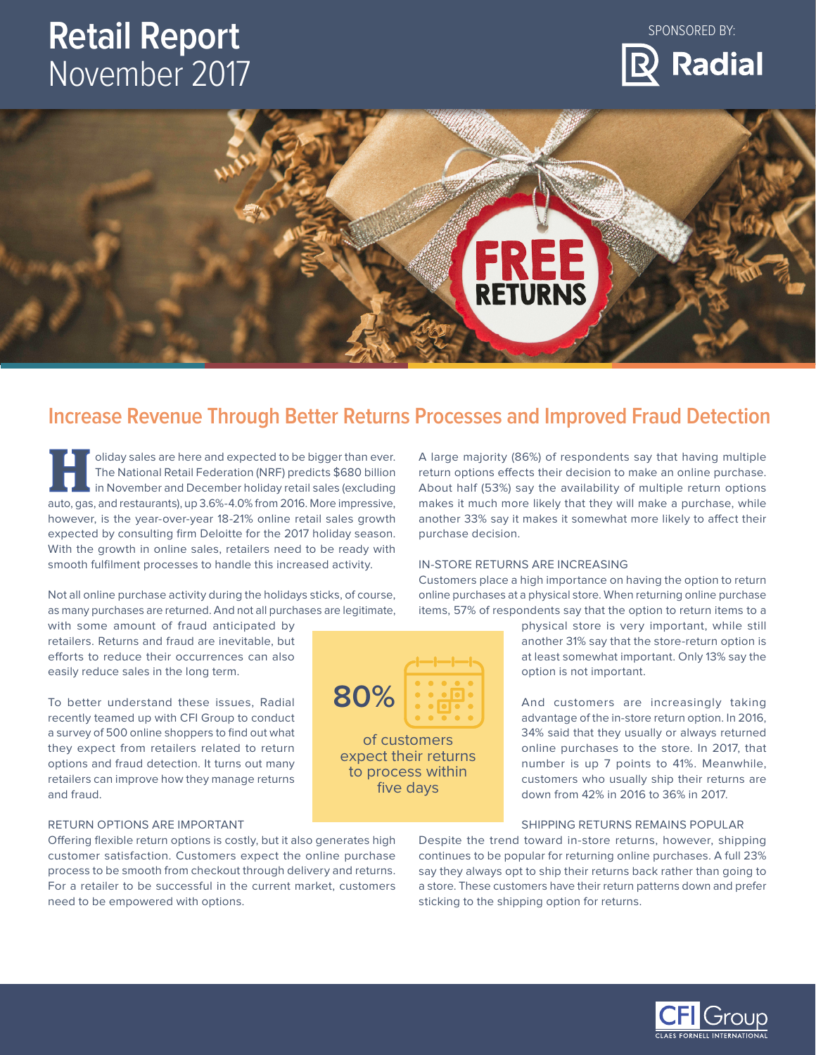# **Retail Report**  November 2017







# **Increase Revenue Through Better Returns Processes and Improved Fraud Detection**

**80%**

of customers expect their returns to process within five days

International Retail Federation (NRF) predicts \$680 billion<br>
in November and December holiday retail sales (excluding<br>
auto assessed restaurants) up 3.6%, 4.0% from 2016. More impressive IHI The National Retail Federation (NRF) predicts \$680 billion auto, gas, and restaurants), up 3.6%-4.0% from 2016. More impressive, however, is the year-over-year 18-21% online retail sales growth expected by consulting frm Deloitte for the 2017 holiday season. With the growth in online sales, retailers need to be ready with smooth fulflment processes to handle this increased activity.

 as many purchases are returned. And not all purchases are legitimate, Not all online purchase activity during the holidays sticks, of course,

with some amount of fraud anticipated by retailers. Returns and fraud are inevitable, but efforts to reduce their occurrences can also easily reduce sales in the long term.

To better understand these issues, Radial recently teamed up with CFI Group to conduct a survey of 500 online shoppers to find out what they expect from retailers related to return options and fraud detection. It turns out many retailers can improve how they manage returns and fraud.

### RETURN OPTIONS ARE IMPORTANT

Ofering fexible return options is costly, but it also generates high customer satisfaction. Customers expect the online purchase process to be smooth from checkout through delivery and returns. For a retailer to be successful in the current market, customers need to be empowered with options.

A large majority (86%) of respondents say that having multiple return options efects their decision to make an online purchase. About half (53%) say the availability of multiple return options makes it much more likely that they will make a purchase, while another 33% say it makes it somewhat more likely to afect their purchase decision.

## IN-STORE RETURNS ARE INCREASING

Customers place a high importance on having the option to return online purchases at a physical store. When returning online purchase items, 57% of respondents say that the option to return items to a

> physical store is very important, while still another 31% say that the store-return option is at least somewhat important. Only 13% say the option is not important.

> And customers are increasingly taking advantage of the in-store return option. In 2016, 34% said that they usually or always returned online purchases to the store. In 2017, that number is up 7 points to 41%. Meanwhile, customers who usually ship their returns are down from 42% in 2016 to 36% in 2017.

#### SHIPPING RETURNS REMAINS POPULAR

Despite the trend toward in-store returns, however, shipping continues to be popular for returning online purchases. A full 23% say they always opt to ship their returns back rather than going to a store. These customers have their return patterns down and prefer sticking to the shipping option for returns.